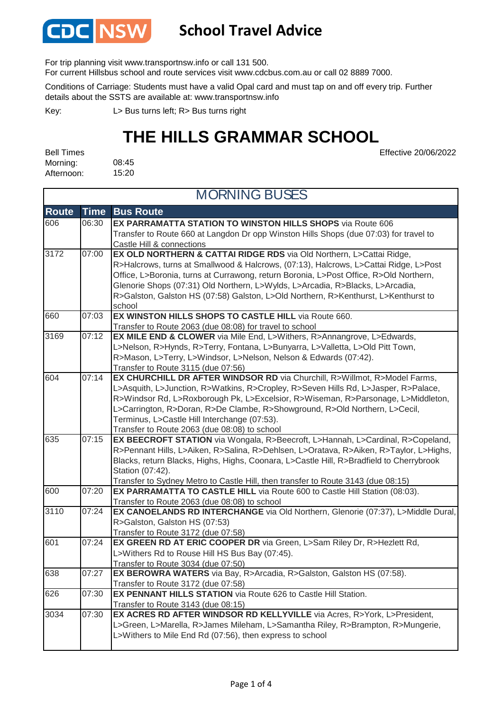

### **School Travel Advice**

For trip planning visit www.transportnsw.info or call 131 500.

For current Hillsbus school and route services visit www.cdcbus.com.au or call 02 8889 7000.

Conditions of Carriage: Students must have a valid Opal card and must tap on and off every trip. Further details about the SSTS are available at: www.transportnsw.info

L> Bus turns left; R> Bus turns right Key:

### **THE HILLS GRAMMAR SCHOOL**

Effective 20/06/2022

08:45 15:20 Bell Times Morning: Afternoon:

| <b>MORNING BUSES</b> |             |                                                                                                                 |  |  |
|----------------------|-------------|-----------------------------------------------------------------------------------------------------------------|--|--|
| <b>Route</b>         | <b>Time</b> | <b>Bus Route</b>                                                                                                |  |  |
| 606                  | 06:30       | EX PARRAMATTA STATION TO WINSTON HILLS SHOPS via Route 606                                                      |  |  |
|                      |             | Transfer to Route 660 at Langdon Dr opp Winston Hills Shops (due 07:03) for travel to                           |  |  |
| 3172                 | 07:00       | Castle Hill & connections<br>EX OLD NORTHERN & CATTAI RIDGE RDS via Old Northern, L>Cattai Ridge,               |  |  |
|                      |             | R>Halcrows, turns at Smallwood & Halcrows, (07:13), Halcrows, L>Cattai Ridge, L>Post                            |  |  |
|                      |             | Office, L>Boronia, turns at Currawong, return Boronia, L>Post Office, R>Old Northern,                           |  |  |
|                      |             | Glenorie Shops (07:31) Old Northern, L>Wylds, L>Arcadia, R>Blacks, L>Arcadia,                                   |  |  |
|                      |             | R>Galston, Galston HS (07:58) Galston, L>Old Northern, R>Kenthurst, L>Kenthurst to                              |  |  |
|                      |             | school                                                                                                          |  |  |
| 660                  | 07:03       | EX WINSTON HILLS SHOPS TO CASTLE HILL via Route 660.                                                            |  |  |
|                      |             | Transfer to Route 2063 (due 08:08) for travel to school                                                         |  |  |
| 3169                 | 07:12       | <b>EX MILE END &amp; CLOWER</b> via Mile End, L>Withers, R>Annangrove, L>Edwards,                               |  |  |
|                      |             | L>Nelson, R>Hynds, R>Terry, Fontana, L>Bunyarra, L>Valletta, L>Old Pitt Town,                                   |  |  |
|                      |             | R>Mason, L>Terry, L>Windsor, L>Nelson, Nelson & Edwards (07:42).                                                |  |  |
| 604                  | 07:14       | Transfer to Route 3115 (due 07:56)<br>EX CHURCHILL DR AFTER WINDSOR RD via Churchill, R>Willmot, R>Model Farms, |  |  |
|                      |             | L>Asquith, L>Junction, R>Watkins, R>Cropley, R>Seven Hills Rd, L>Jasper, R>Palace,                              |  |  |
|                      |             | R>Windsor Rd, L>Roxborough Pk, L>Excelsior, R>Wiseman, R>Parsonage, L>Middleton,                                |  |  |
|                      |             | L>Carrington, R>Doran, R>De Clambe, R>Showground, R>Old Northern, L>Cecil,                                      |  |  |
|                      |             | Terminus, L>Castle Hill Interchange (07:53).                                                                    |  |  |
|                      |             | Transfer to Route 2063 (due 08:08) to school                                                                    |  |  |
| 635                  | 07:15       | EX BEECROFT STATION via Wongala, R>Beecroft, L>Hannah, L>Cardinal, R>Copeland,                                  |  |  |
|                      |             | R>Pennant Hills, L>Aiken, R>Salina, R>Dehlsen, L>Oratava, R>Aiken, R>Taylor, L>Highs,                           |  |  |
|                      |             | Blacks, return Blacks, Highs, Highs, Coonara, L>Castle Hill, R>Bradfield to Cherrybrook                         |  |  |
|                      |             | Station (07:42).                                                                                                |  |  |
|                      |             | Transfer to Sydney Metro to Castle Hill, then transfer to Route 3143 (due 08:15)                                |  |  |
| 600                  | 07:20       | EX PARRAMATTA TO CASTLE HILL via Route 600 to Castle Hill Station (08:03).                                      |  |  |
|                      |             | Transfer to Route 2063 (due 08:08) to school                                                                    |  |  |
| 3110                 | 07:24       | EX CANOELANDS RD INTERCHANGE via Old Northern, Glenorie (07:37), L>Middle Dural,                                |  |  |
|                      |             | R>Galston, Galston HS (07:53)                                                                                   |  |  |
| 601                  | 07:24       | Transfer to Route 3172 (due 07:58)<br>EX GREEN RD AT ERIC COOPER DR via Green, L>Sam Riley Dr, R>Hezlett Rd,    |  |  |
|                      |             | L>Withers Rd to Rouse Hill HS Bus Bay (07:45).                                                                  |  |  |
|                      |             | Transfer to Route 3034 (due 07:50)                                                                              |  |  |
| 638                  | 07:27       | EX BEROWRA WATERS via Bay, R>Arcadia, R>Galston, Galston HS (07:58).                                            |  |  |
|                      |             | Transfer to Route 3172 (due 07:58)                                                                              |  |  |
| 626                  | 07:30       | <b>EX PENNANT HILLS STATION</b> via Route 626 to Castle Hill Station.                                           |  |  |
|                      |             | Transfer to Route 3143 (due 08:15)                                                                              |  |  |
| 3034                 | 07:30       | EX ACRES RD AFTER WINDSOR RD KELLYVILLE via Acres, R>York, L>President,                                         |  |  |
|                      |             | L>Green, L>Marella, R>James Mileham, L>Samantha Riley, R>Brampton, R>Mungerie,                                  |  |  |
|                      |             | L>Withers to Mile End Rd (07:56), then express to school                                                        |  |  |
|                      |             |                                                                                                                 |  |  |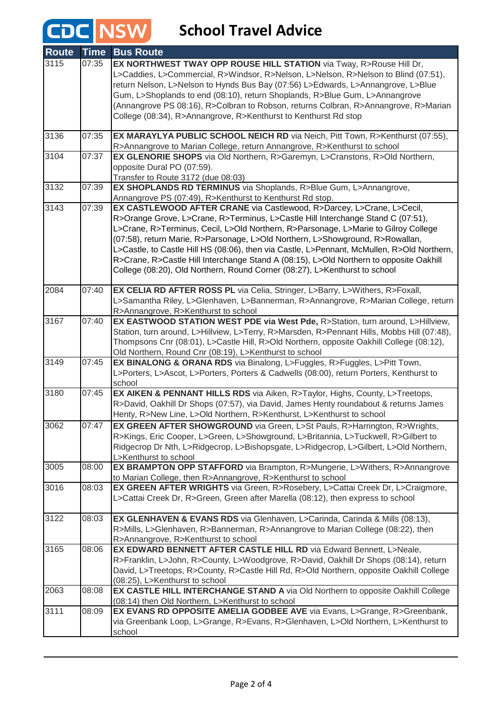# **CDC** NSW School Travel Advice

| <b>Route</b> | <b>Time</b> | <b>Bus Route</b>                                                                                                                                          |
|--------------|-------------|-----------------------------------------------------------------------------------------------------------------------------------------------------------|
| 3115         | 07:35       | EX NORTHWEST TWAY OPP ROUSE HILL STATION via Tway, R>Rouse Hill Dr,<br>L>Caddies, L>Commercial, R>Windsor, R>Nelson, L>Nelson, R>Nelson to Blind (07:51), |
|              |             | return Nelson, L>Nelson to Hynds Bus Bay (07:56) L>Edwards, L>Annangrove, L>Blue                                                                          |
|              |             | Gum, L>Shoplands to end (08:10), return Shoplands, R>Blue Gum, L>Annangrove                                                                               |
|              |             | (Annangrove PS 08:16), R>Colbran to Robson, returns Colbran, R>Annangrove, R>Marian                                                                       |
|              |             | College (08:34), R>Annangrove, R>Kenthurst to Kenthurst Rd stop                                                                                           |
| 3136         | 07:35       | EX MARAYLYA PUBLIC SCHOOL NEICH RD via Neich, Pitt Town, R>Kenthurst (07:55),<br>R>Annangrove to Marian College, return Annangrove, R>Kenthurst to school |
| 3104         | 07:37       | EX GLENORIE SHOPS via Old Northern, R>Garemyn, L>Cranstons, R>Old Northern,                                                                               |
|              |             | opposite Dural PO (07:59).                                                                                                                                |
|              |             | Transfer to Route 3172 (due 08:03)                                                                                                                        |
| 3132         | 07:39       | EX SHOPLANDS RD TERMINUS via Shoplands, R>Blue Gum, L>Annangrove,                                                                                         |
|              |             | Annangrove PS (07:49), R>Kenthurst to Kenthurst Rd stop.                                                                                                  |
| 3143         | 07:39       | EX CASTLEWOOD AFTER CRANE via Castlewood, R>Darcey, L>Crane, L>Cecil,                                                                                     |
|              |             | R>Orange Grove, L>Crane, R>Terminus, L>Castle Hill Interchange Stand C (07:51),                                                                           |
|              |             | L>Crane, R>Terminus, Cecil, L>Old Northern, R>Parsonage, L>Marie to Gilroy College                                                                        |
|              |             | (07:58), return Marie, R>Parsonage, L>Old Northern, L>Showground, R>Rowallan,                                                                             |
|              |             | L>Castle, to Castle Hill HS (08:06), then via Castle, L>Pennant, McMullen, R>Old Northern,                                                                |
|              |             | R>Crane, R>Castle Hill Interchange Stand A (08:15), L>Old Northern to opposite Oakhill                                                                    |
|              |             | College (08:20), Old Northern, Round Corner (08:27), L>Kenthurst to school                                                                                |
| 2084         | 07:40       | EX CELIA RD AFTER ROSS PL via Celia, Stringer, L>Barry, L>Withers, R>Foxall,                                                                              |
|              |             | L>Samantha Riley, L>Glenhaven, L>Bannerman, R>Annangrove, R>Marian College, return                                                                        |
|              |             | R>Annangrove, R>Kenthurst to school                                                                                                                       |
| 3167         | 07:40       | EX EASTWOOD STATION WEST PDE via West Pde, R>Station, turn around, L>Hillview,                                                                            |
|              |             | Station, turn around, L>Hillview, L>Terry, R>Marsden, R>Pennant Hills, Mobbs Hill (07:48),                                                                |
|              |             | Thompsons Cnr (08:01), L>Castle Hill, R>Old Northern, opposite Oakhill College (08:12),                                                                   |
|              |             | Old Northern, Round Cnr (08:19), L>Kenthurst to school                                                                                                    |
| 3149         | 07:45       | EX BINALONG & ORANA RDS via Binalong, L>Fuggles, R>Fuggles, L>Pitt Town,                                                                                  |
|              |             | L>Porters, L>Ascot, L>Porters, Porters & Cadwells (08:00), return Porters, Kenthurst to                                                                   |
| 3180         | 07:45       | school<br>EX AIKEN & PENNANT HILLS RDS via Aiken, R>Taylor, Highs, County, L>Treetops,                                                                    |
|              |             | R>David, Oakhill Dr Shops (07:57), via David, James Henty roundabout & returns James                                                                      |
|              |             | Henty, R>New Line, L>Old Northern, R>Kenthurst, L>Kenthurst to school                                                                                     |
| 3062         | 07:47       | <b>EX GREEN AFTER SHOWGROUND</b> via Green, L>St Pauls, R>Harrington, R>Wrights,                                                                          |
|              |             | R>Kings, Eric Cooper, L>Green, L>Showground, L>Britannia, L>Tuckwell, R>Gilbert to                                                                        |
|              |             | Ridgecrop Dr Nth, L>Ridgecrop, L>Bishopsgate, L>Ridgecrop, L>Gilbert, L>Old Northern,                                                                     |
|              |             | L>Kenthurst to school                                                                                                                                     |
| 3005         | 08:00       | EX BRAMPTON OPP STAFFORD via Brampton, R>Mungerie, L>Withers, R>Annangrove                                                                                |
|              |             | to Marian College, then R>Annangrove, R>Kenthurst to school                                                                                               |
| 3016         | 08:03       | EX GREEN AFTER WRIGHTS via Green, R>Rosebery, L>Cattai Creek Dr, L>Craigmore,                                                                             |
|              |             | L>Cattai Creek Dr, R>Green, Green after Marella (08:12), then express to school                                                                           |
| 3122         | 08:03       | EX GLENHAVEN & EVANS RDS via Glenhaven, L>Carinda, Carinda & Mills (08:13),                                                                               |
|              |             | R>Mills, L>Glenhaven, R>Bannerman, R>Annangrove to Marian College (08:22), then                                                                           |
|              |             | R>Annangrove, R>Kenthurst to school                                                                                                                       |
| 3165         | 08:06       | EX EDWARD BENNETT AFTER CASTLE HILL RD via Edward Bennett, L>Neale,                                                                                       |
|              |             | R>Franklin, L>John, R>County, L>Woodgrove, R>David, Oakhill Dr Shops (08:14), return                                                                      |
|              |             | David, L>Treetops, R>County, R>Castle Hill Rd, R>Old Northern, opposite Oakhill College                                                                   |
|              |             | (08:25), L>Kenthurst to school                                                                                                                            |
| 2063         | 08:08       | EX CASTLE HILL INTERCHANGE STAND A via Old Northern to opposite Oakhill College                                                                           |
| 3111         | 08:09       | (08:14) then Old Northern, L>Kenthurst to school<br>EX EVANS RD OPPOSITE AMELIA GODBEE AVE via Evans, L>Grange, R>Greenbank,                              |
|              |             | via Greenbank Loop, L>Grange, R>Evans, R>Glenhaven, L>Old Northern, L>Kenthurst to                                                                        |
|              |             | school                                                                                                                                                    |
|              |             |                                                                                                                                                           |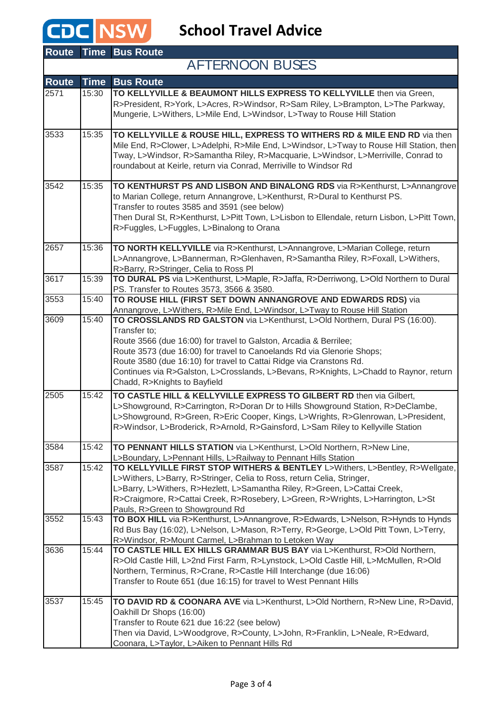## **CDC** NSW School Travel Advice

| <b>Route</b> |             | <b>Time Bus Route</b>                                                                                                                                                                                                                                                                                                                                                                                                                      |
|--------------|-------------|--------------------------------------------------------------------------------------------------------------------------------------------------------------------------------------------------------------------------------------------------------------------------------------------------------------------------------------------------------------------------------------------------------------------------------------------|
|              |             | <b>AFTERNOON BUSES</b>                                                                                                                                                                                                                                                                                                                                                                                                                     |
| <b>Route</b> | <b>Time</b> | <b>Bus Route</b>                                                                                                                                                                                                                                                                                                                                                                                                                           |
| 2571         | 15:30       | TO KELLYVILLE & BEAUMONT HILLS EXPRESS TO KELLYVILLE then via Green,<br>R>President, R>York, L>Acres, R>Windsor, R>Sam Riley, L>Brampton, L>The Parkway,<br>Mungerie, L>Withers, L>Mile End, L>Windsor, L>Tway to Rouse Hill Station                                                                                                                                                                                                       |
| 3533         | 15:35       | TO KELLYVILLE & ROUSE HILL, EXPRESS TO WITHERS RD & MILE END RD via then<br>Mile End, R>Clower, L>Adelphi, R>Mile End, L>Windsor, L>Tway to Rouse Hill Station, then<br>Tway, L>Windsor, R>Samantha Riley, R>Macquarie, L>Windsor, L>Merriville, Conrad to<br>roundabout at Keirle, return via Conrad, Merriville to Windsor Rd                                                                                                            |
| 3542         | 15:35       | TO KENTHURST PS AND LISBON AND BINALONG RDS via R>Kenthurst, L>Annangrove<br>to Marian College, return Annangrove, L>Kenthurst, R>Dural to Kenthurst PS.<br>Transfer to routes 3585 and 3591 (see below)<br>Then Dural St, R>Kenthurst, L>Pitt Town, L>Lisbon to Ellendale, return Lisbon, L>Pitt Town,<br>R>Fuggles, L>Fuggles, L>Binalong to Orana                                                                                       |
| 2657         | 15:36       | TO NORTH KELLYVILLE via R>Kenthurst, L>Annangrove, L>Marian College, return<br>L>Annangrove, L>Bannerman, R>Glenhaven, R>Samantha Riley, R>Foxall, L>Withers,<br>R>Barry, R>Stringer, Celia to Ross PI                                                                                                                                                                                                                                     |
| 3617         | 15:39       | TO DURAL PS via L>Kenthurst, L>Maple, R>Jaffa, R>Derriwong, L>Old Northern to Dural<br>PS. Transfer to Routes 3573, 3566 & 3580.                                                                                                                                                                                                                                                                                                           |
| 3553         | 15:40       | TO ROUSE HILL (FIRST SET DOWN ANNANGROVE AND EDWARDS RDS) via<br>Annangrove, L>Withers, R>Mile End, L>Windsor, L>Tway to Rouse Hill Station                                                                                                                                                                                                                                                                                                |
| 3609         | 15:40       | TO CROSSLANDS RD GALSTON via L>Kenthurst, L>Old Northern, Dural PS (16:00).<br>Transfer to:<br>Route 3566 (due 16:00) for travel to Galston, Arcadia & Berrilee;<br>Route 3573 (due 16:00) for travel to Canoelands Rd via Glenorie Shops;<br>Route 3580 (due 16:10) for travel to Cattai Ridge via Cranstons Rd.<br>Continues via R>Galston, L>Crosslands, L>Bevans, R>Knights, L>Chadd to Raynor, return<br>Chadd, R>Knights to Bayfield |
| 2505         | 15:42       | TO CASTLE HILL & KELLYVILLE EXPRESS TO GILBERT RD then via Gilbert,<br>L>Showground, R>Carrington, R>Doran Dr to Hills Showground Station, R>DeClambe,<br>L>Showground, R>Green, R>Eric Cooper, Kings, L>Wrights, R>Glenrowan, L>President,<br>R>Windsor, L>Broderick, R>Arnold, R>Gainsford, L>Sam Riley to Kellyville Station                                                                                                            |
| 3584         | 15:42       | TO PENNANT HILLS STATION via L>Kenthurst, L>Old Northern, R>New Line,<br>L>Boundary, L>Pennant Hills, L>Railway to Pennant Hills Station                                                                                                                                                                                                                                                                                                   |
| 3587         | 15:42       | TO KELLYVILLE FIRST STOP WITHERS & BENTLEY L>Withers, L>Bentley, R>Wellgate,<br>L>Withers, L>Barry, R>Stringer, Celia to Ross, return Celia, Stringer,<br>L>Barry, L>Withers, R>Hezlett, L>Samantha Riley, R>Green, L>Cattai Creek,<br>R>Craigmore, R>Cattai Creek, R>Rosebery, L>Green, R>Wrights, L>Harrington, L>St<br>Pauls, R>Green to Showground Rd                                                                                  |
| 3552         | 15:43       | TO BOX HILL via R>Kenthurst, L>Annangrove, R>Edwards, L>Nelson, R>Hynds to Hynds<br>Rd Bus Bay (16:02), L>Nelson, L>Mason, R>Terry, R>George, L>Old Pitt Town, L>Terry,<br>R>Windsor, R>Mount Carmel, L>Brahman to Letoken Way                                                                                                                                                                                                             |
| 3636         | 15:44       | TO CASTLE HILL EX HILLS GRAMMAR BUS BAY via L>Kenthurst, R>Old Northern,<br>R>Old Castle Hill, L>2nd First Farm, R>Lynstock, L>Old Castle Hill, L>McMullen, R>Old<br>Northern, Terminus, R>Crane, R>Castle Hill Interchange (due 16:06)<br>Transfer to Route 651 (due 16:15) for travel to West Pennant Hills                                                                                                                              |
| 3537         | 15:45       | TO DAVID RD & COONARA AVE via L>Kenthurst, L>Old Northern, R>New Line, R>David,<br>Oakhill Dr Shops (16:00)<br>Transfer to Route 621 due 16:22 (see below)<br>Then via David, L>Woodgrove, R>County, L>John, R>Franklin, L>Neale, R>Edward,<br>Coonara, L>Taylor, L>Aiken to Pennant Hills Rd                                                                                                                                              |